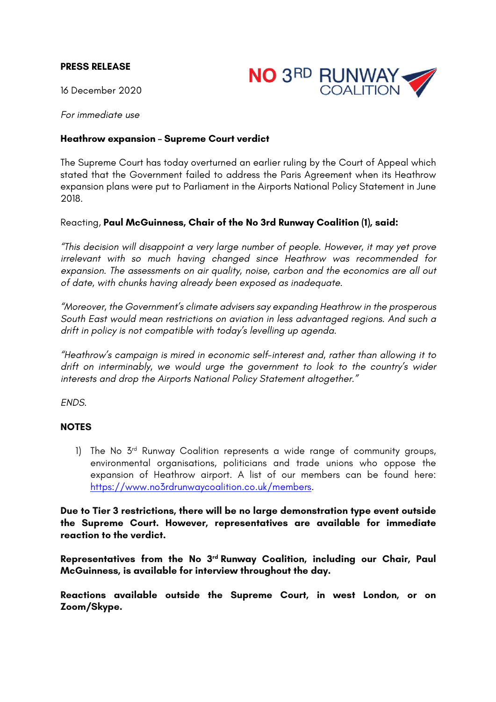## **PRESS RELEASE**



16 December 2020

*For immediate use*

## **Heathrow expansion – Supreme Court verdict**

The Supreme Court has today overturned an earlier ruling by the Court of Appeal which stated that the Government failed to address the Paris Agreement when its Heathrow expansion plans were put to Parliament in the Airports National Policy Statement in June 2018.

## Reacting, **Paul McGuinness, Chair of the No 3rd Runway Coalition (1), said:**

*"This decision will disappoint a very large number of people. However, it may yet prove irrelevant with so much having changed since Heathrow was recommended for expansion. The assessments on air quality, noise, carbon and the economics are all out of date, with chunks having already been exposed as inadequate.*

*"Moreover, the Government's climate advisers say expanding Heathrow in the prosperous South East would mean restrictions on aviation in less advantaged regions. And such a drift in policy is not compatible with today's levelling up agenda.*

*"Heathrow's campaign is mired in economic self-interest and, rather than allowing it to drift on interminably, we would urge the government to look to the country's wider interests and drop the Airports National Policy Statement altogether."*

*ENDS.*

## **NOTES**

1) The No 3<sup>rd</sup> Runway Coalition represents a wide range of community groups, environmental organisations, politicians and trade unions who oppose the expansion of Heathrow airport. A list of our members can be found here: https://www.no3rdrunwaycoalition.co.uk/members.

**Due to Tier 3 restrictions, there will be no large demonstration type event outside the Supreme Court. However, representatives are available for immediate reaction to the verdict.**

**Representatives from the No 3rd Runway Coalition, including our Chair, Paul McGuinness, is available for interview throughout the day.**

**Reactions available outside the Supreme Court, in west London, or on Zoom/Skype.**